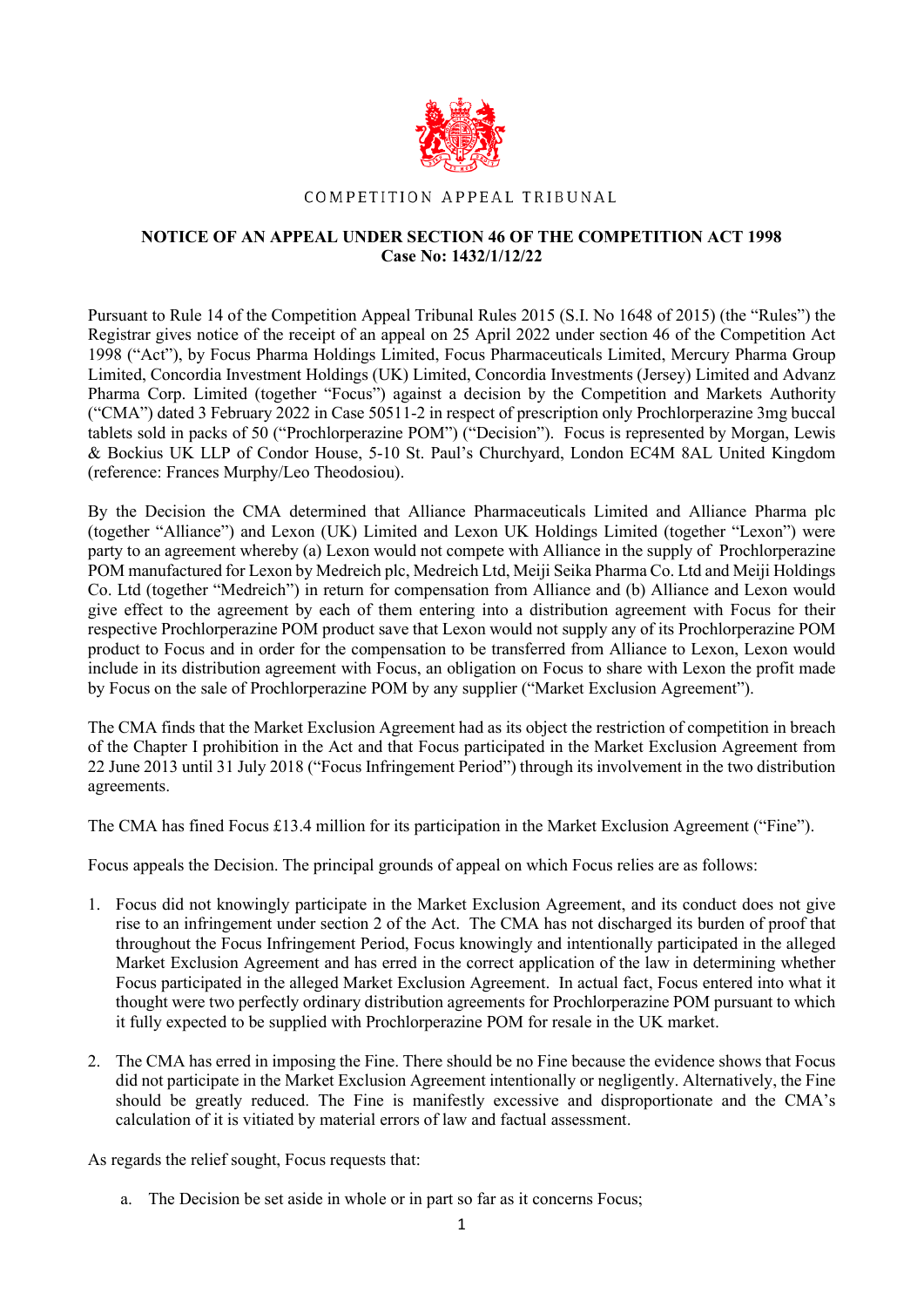

## COMPETITION APPEAL TRIBUNAL

## **NOTICE OF AN APPEAL UNDER SECTION 46 OF THE COMPETITION ACT 1998 Case No: 1432/1/12/22**

Pursuant to Rule 14 of the Competition Appeal Tribunal Rules 2015 (S.I. No 1648 of 2015) (the "Rules") the Registrar gives notice of the receipt of an appeal on 25 April 2022 under section 46 of the Competition Act 1998 ("Act"), by Focus Pharma Holdings Limited, Focus Pharmaceuticals Limited, Mercury Pharma Group Limited, Concordia Investment Holdings (UK) Limited, Concordia Investments (Jersey) Limited and Advanz Pharma Corp. Limited (together "Focus") against a decision by the Competition and Markets Authority ("CMA") dated 3 February 2022 in Case 50511-2 in respect of prescription only Prochlorperazine 3mg buccal tablets sold in packs of 50 ("Prochlorperazine POM") ("Decision"). Focus is represented by Morgan, Lewis & Bockius UK LLP of Condor House, 5-10 St. Paul's Churchyard, London EC4M 8AL United Kingdom (reference: Frances Murphy/Leo Theodosiou).

By the Decision the CMA determined that Alliance Pharmaceuticals Limited and Alliance Pharma plc (together "Alliance") and Lexon (UK) Limited and Lexon UK Holdings Limited (together "Lexon") were party to an agreement whereby (a) Lexon would not compete with Alliance in the supply of Prochlorperazine POM manufactured for Lexon by Medreich plc, Medreich Ltd, Meiji Seika Pharma Co. Ltd and Meiji Holdings Co. Ltd (together "Medreich") in return for compensation from Alliance and (b) Alliance and Lexon would give effect to the agreement by each of them entering into a distribution agreement with Focus for their respective Prochlorperazine POM product save that Lexon would not supply any of its Prochlorperazine POM product to Focus and in order for the compensation to be transferred from Alliance to Lexon, Lexon would include in its distribution agreement with Focus, an obligation on Focus to share with Lexon the profit made by Focus on the sale of Prochlorperazine POM by any supplier ("Market Exclusion Agreement").

The CMA finds that the Market Exclusion Agreement had as its object the restriction of competition in breach of the Chapter I prohibition in the Act and that Focus participated in the Market Exclusion Agreement from 22 June 2013 until 31 July 2018 ("Focus Infringement Period") through its involvement in the two distribution agreements.

The CMA has fined Focus £13.4 million for its participation in the Market Exclusion Agreement ("Fine").

Focus appeals the Decision. The principal grounds of appeal on which Focus relies are as follows:

- 1. Focus did not knowingly participate in the Market Exclusion Agreement, and its conduct does not give rise to an infringement under section 2 of the Act. The CMA has not discharged its burden of proof that throughout the Focus Infringement Period, Focus knowingly and intentionally participated in the alleged Market Exclusion Agreement and has erred in the correct application of the law in determining whether Focus participated in the alleged Market Exclusion Agreement. In actual fact, Focus entered into what it thought were two perfectly ordinary distribution agreements for Prochlorperazine POM pursuant to which it fully expected to be supplied with Prochlorperazine POM for resale in the UK market.
- 2. The CMA has erred in imposing the Fine. There should be no Fine because the evidence shows that Focus did not participate in the Market Exclusion Agreement intentionally or negligently. Alternatively, the Fine should be greatly reduced. The Fine is manifestly excessive and disproportionate and the CMA's calculation of it is vitiated by material errors of law and factual assessment.

As regards the relief sought, Focus requests that:

a. The Decision be set aside in whole or in part so far as it concerns Focus;